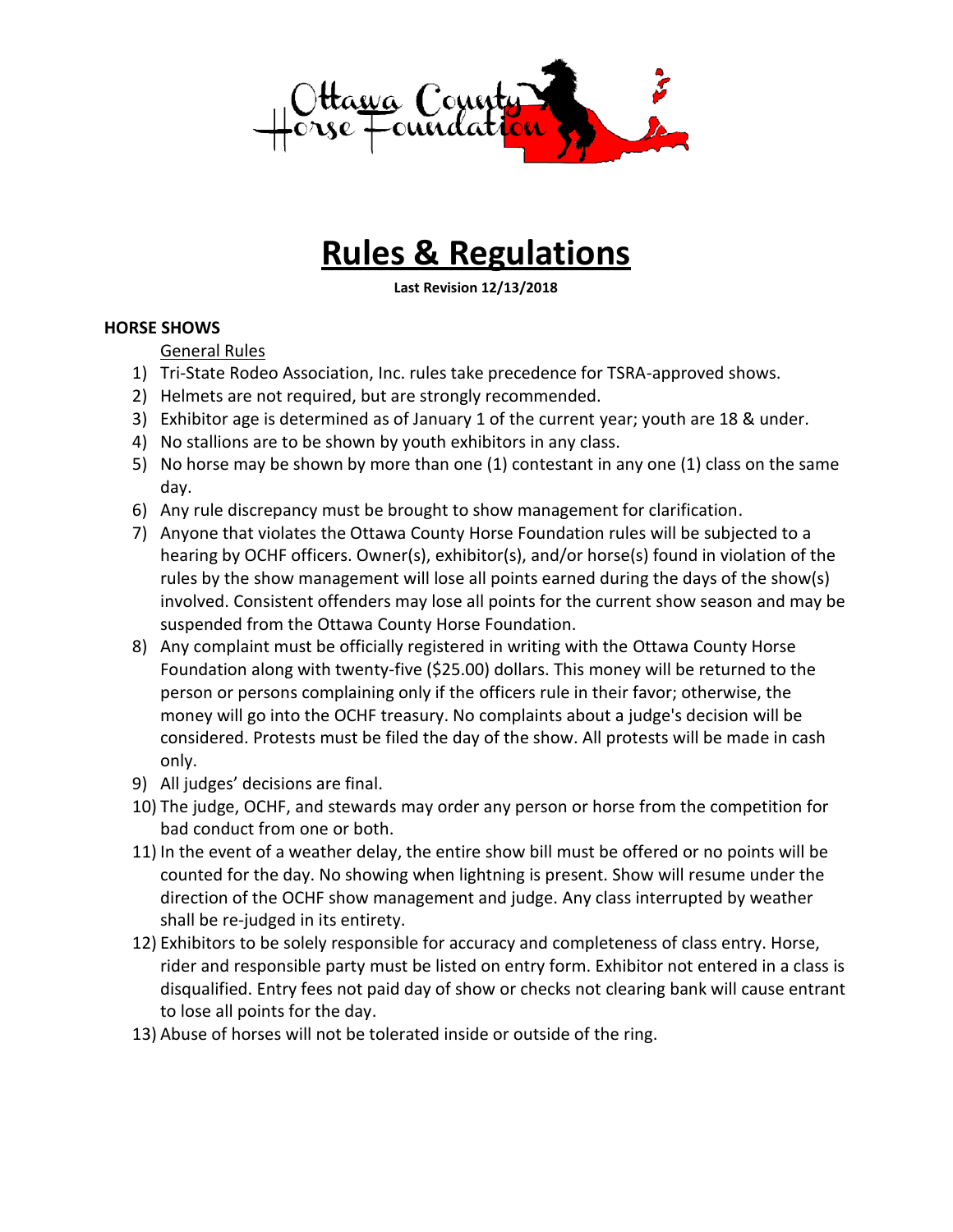

## **Rules & Regulations**

**Last Revision 12/13/2018**

## **HORSE SHOWS**

General Rules

- 1) Tri-State Rodeo Association, Inc. rules take precedence for TSRA-approved shows.
- 2) Helmets are not required, but are strongly recommended.
- 3) Exhibitor age is determined as of January 1 of the current year; youth are 18 & under.
- 4) No stallions are to be shown by youth exhibitors in any class.
- 5) No horse may be shown by more than one (1) contestant in any one (1) class on the same day.
- 6) Any rule discrepancy must be brought to show management for clarification.
- 7) Anyone that violates the Ottawa County Horse Foundation rules will be subjected to a hearing by OCHF officers. Owner(s), exhibitor(s), and/or horse(s) found in violation of the rules by the show management will lose all points earned during the days of the show(s) involved. Consistent offenders may lose all points for the current show season and may be suspended from the Ottawa County Horse Foundation.
- 8) Any complaint must be officially registered in writing with the Ottawa County Horse Foundation along with twenty-five (\$25.00) dollars. This money will be returned to the person or persons complaining only if the officers rule in their favor; otherwise, the money will go into the OCHF treasury. No complaints about a judge's decision will be considered. Protests must be filed the day of the show. All protests will be made in cash only.
- 9) All judges' decisions are final.
- 10) The judge, OCHF, and stewards may order any person or horse from the competition for bad conduct from one or both.
- 11) In the event of a weather delay, the entire show bill must be offered or no points will be counted for the day. No showing when lightning is present. Show will resume under the direction of the OCHF show management and judge. Any class interrupted by weather shall be re-judged in its entirety.
- 12) Exhibitors to be solely responsible for accuracy and completeness of class entry. Horse, rider and responsible party must be listed on entry form. Exhibitor not entered in a class is disqualified. Entry fees not paid day of show or checks not clearing bank will cause entrant to lose all points for the day.
- 13) Abuse of horses will not be tolerated inside or outside of the ring.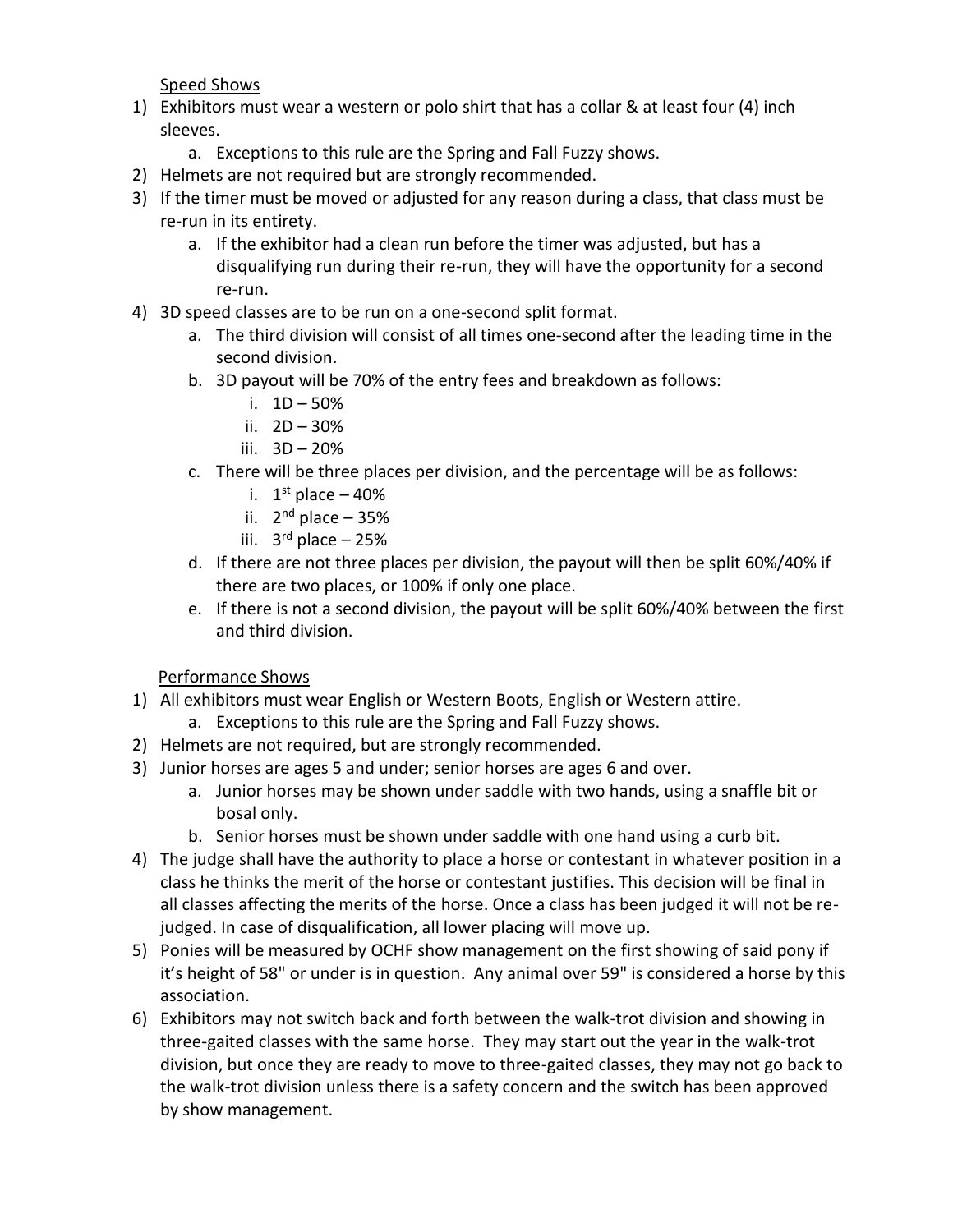Speed Shows

- 1) Exhibitors must wear a western or polo shirt that has a collar & at least four (4) inch sleeves.
	- a. Exceptions to this rule are the Spring and Fall Fuzzy shows.
- 2) Helmets are not required but are strongly recommended.
- 3) If the timer must be moved or adjusted for any reason during a class, that class must be re-run in its entirety.
	- a. If the exhibitor had a clean run before the timer was adjusted, but has a disqualifying run during their re-run, they will have the opportunity for a second re-run.
- 4) 3D speed classes are to be run on a one-second split format.
	- a. The third division will consist of all times one-second after the leading time in the second division.
	- b. 3D payout will be 70% of the entry fees and breakdown as follows:
		- i. 1D 50%
		- ii. 2D 30%
		- iii. 3D 20%
	- c. There will be three places per division, and the percentage will be as follows:
		- i.  $1<sup>st</sup>$  place  $-40%$
		- ii. 2<sup>nd</sup> place 35%
		- iii. 3 rd place 25%
	- d. If there are not three places per division, the payout will then be split 60%/40% if there are two places, or 100% if only one place.
	- e. If there is not a second division, the payout will be split 60%/40% between the first and third division.

## Performance Shows

- 1) All exhibitors must wear English or Western Boots, English or Western attire.
	- a. Exceptions to this rule are the Spring and Fall Fuzzy shows.
- 2) Helmets are not required, but are strongly recommended.
- 3) Junior horses are ages 5 and under; senior horses are ages 6 and over.
	- a. Junior horses may be shown under saddle with two hands, using a snaffle bit or bosal only.
	- b. Senior horses must be shown under saddle with one hand using a curb bit.
- 4) The judge shall have the authority to place a horse or contestant in whatever position in a class he thinks the merit of the horse or contestant justifies. This decision will be final in all classes affecting the merits of the horse. Once a class has been judged it will not be rejudged. In case of disqualification, all lower placing will move up.
- 5) Ponies will be measured by OCHF show management on the first showing of said pony if it's height of 58" or under is in question. Any animal over 59" is considered a horse by this association.
- 6) Exhibitors may not switch back and forth between the walk-trot division and showing in three-gaited classes with the same horse. They may start out the year in the walk-trot division, but once they are ready to move to three-gaited classes, they may not go back to the walk-trot division unless there is a safety concern and the switch has been approved by show management.